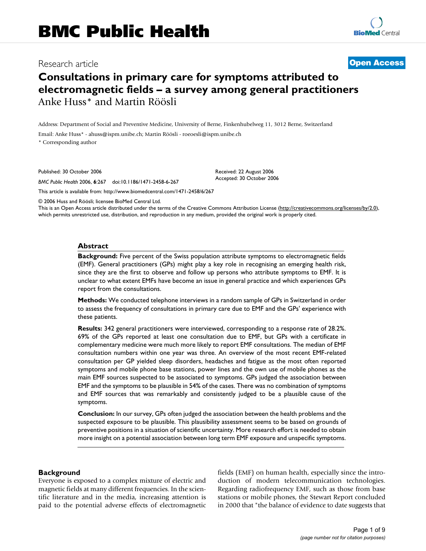## Research article **[Open Access](http://www.biomedcentral.com/info/about/charter/)**

# **Consultations in primary care for symptoms attributed to electromagnetic fields – a survey among general practitioners** Anke Huss\* and Martin Röösli

Address: Department of Social and Preventive Medicine, University of Berne, Finkenhubelweg 11, 3012 Berne, Switzerland Email: Anke Huss\* - ahuss@ispm.unibe.ch; Martin Röösli - roeoesli@ispm.unibe.ch

\* Corresponding author

Published: 30 October 2006

*BMC Public Health* 2006, **6**:267 doi:10.1186/1471-2458-6-267

[This article is available from: http://www.biomedcentral.com/1471-2458/6/267](http://www.biomedcentral.com/1471-2458/6/267)

© 2006 Huss and Röösli; licensee BioMed Central Ltd.

This is an Open Access article distributed under the terms of the Creative Commons Attribution License [\(http://creativecommons.org/licenses/by/2.0\)](http://creativecommons.org/licenses/by/2.0), which permits unrestricted use, distribution, and reproduction in any medium, provided the original work is properly cited.

Received: 22 August 2006 Accepted: 30 October 2006

#### **Abstract**

**Background:** Five percent of the Swiss population attribute symptoms to electromagnetic fields (EMF). General practitioners (GPs) might play a key role in recognising an emerging health risk, since they are the first to observe and follow up persons who attribute symptoms to EMF. It is unclear to what extent EMFs have become an issue in general practice and which experiences GPs report from the consultations.

**Methods:** We conducted telephone interviews in a random sample of GPs in Switzerland in order to assess the frequency of consultations in primary care due to EMF and the GPs' experience with these patients.

**Results:** 342 general practitioners were interviewed, corresponding to a response rate of 28.2%. 69% of the GPs reported at least one consultation due to EMF, but GPs with a certificate in complementary medicine were much more likely to report EMF consultations. The median of EMF consultation numbers within one year was three. An overview of the most recent EMF-related consultation per GP yielded sleep disorders, headaches and fatigue as the most often reported symptoms and mobile phone base stations, power lines and the own use of mobile phones as the main EMF sources suspected to be associated to symptoms. GPs judged the association between EMF and the symptoms to be plausible in 54% of the cases. There was no combination of symptoms and EMF sources that was remarkably and consistently judged to be a plausible cause of the symptoms.

**Conclusion:** In our survey, GPs often judged the association between the health problems and the suspected exposure to be plausible. This plausibility assessment seems to be based on grounds of preventive positions in a situation of scientific uncertainty. More research effort is needed to obtain more insight on a potential association between long term EMF exposure and unspecific symptoms.

#### **Background**

Everyone is exposed to a complex mixture of electric and magnetic fields at many different frequencies. In the scientific literature and in the media, increasing attention is paid to the potential adverse effects of electromagnetic fields (EMF) on human health, especially since the introduction of modern telecommunication technologies. Regarding radiofrequency EMF, such as those from base stations or mobile phones, the Stewart Report concluded in 2000 that "the balance of evidence to date suggests that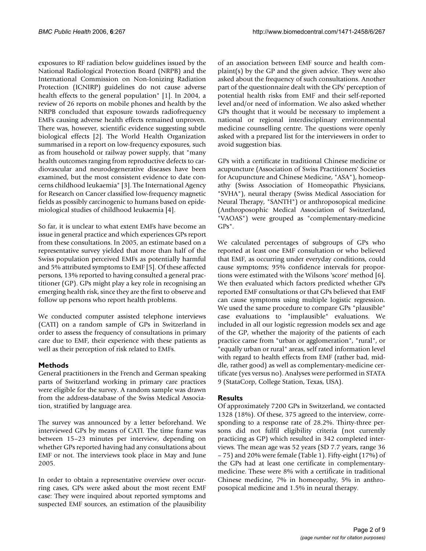exposures to RF radiation below guidelines issued by the National Radiological Protection Board (NRPB) and the International Commission on Non-Ionizing Radiation Protection (ICNIRP) guidelines do not cause adverse health effects to the general population" [1]. In 2004, a review of 26 reports on mobile phones and health by the NRPB concluded that exposure towards radiofrequency EMFs causing adverse health effects remained unproven. There was, however, scientific evidence suggesting subtle biological effects [2]. The World Health Organization summarised in a report on low-frequency exposures, such as from household or railway power supply, that "many health outcomes ranging from reproductive defects to cardiovascular and neurodegenerative diseases have been examined, but the most consistent evidence to date concerns childhood leukaemia" [3]. The International Agency for Research on Cancer classified low-frequency magnetic fields as possibly carcinogenic to humans based on epidemiological studies of childhood leukaemia [4].

So far, it is unclear to what extent EMFs have become an issue in general practice and which experiences GPs report from these consultations. In 2005, an estimate based on a representative survey yielded that more than half of the Swiss population perceived EMFs as potentially harmful and 5% attributed symptoms to EMF [5]. Of these affected persons, 13% reported to having consulted a general practitioner (GP). GPs might play a key role in recognising an emerging health risk, since they are the first to observe and follow up persons who report health problems.

We conducted computer assisted telephone interviews (CATI) on a random sample of GPs in Switzerland in order to assess the frequency of consultations in primary care due to EMF, their experience with these patients as well as their perception of risk related to EMFs.

### **Methods**

General practitioners in the French and German speaking parts of Switzerland working in primary care practices were eligible for the survey. A random sample was drawn from the address-database of the Swiss Medical Association, stratified by language area.

The survey was announced by a letter beforehand. We interviewed GPs by means of CATI. The time frame was between 15–23 minutes per interview, depending on whether GPs reported having had any consultations about EMF or not. The interviews took place in May and June 2005.

In order to obtain a representative overview over occurring cases, GPs were asked about the most recent EMF case: They were inquired about reported symptoms and suspected EMF sources, an estimation of the plausibility of an association between EMF source and health complaint(s) by the GP and the given advice. They were also asked about the frequency of such consultations. Another part of the questionnaire dealt with the GPs' perception of potential health risks from EMF and their self-reported level and/or need of information. We also asked whether GPs thought that it would be necessary to implement a national or regional interdisciplinary environmental medicine counselling centre. The questions were openly asked with a prepared list for the interviewers in order to avoid suggestion bias.

GPs with a certificate in traditional Chinese medicine or acupuncture (Association of Swiss Practitioners' Societies for Acupuncture and Chinese Medicine, "ASA"), homeopathy (Swiss Association of Homeopathic Physicians, "SVHA"), neural therapy (Swiss Medical Association for Neural Therapy, "SANTH") or anthroposopical medicine (Anthroposophic Medical Association of Switzerland, "VAOAS") were grouped as "complementary-medicine GPs".

We calculated percentages of subgroups of GPs who reported at least one EMF consultation or who believed that EMF, as occurring under everyday conditions, could cause symptoms; 95% confidence intervals for proportions were estimated with the Wilsons 'score' method [6]. We then evaluated which factors predicted whether GPs reported EMF consultations or that GPs believed that EMF can cause symptoms using multiple logistic regression. We used the same procedure to compare GPs "plausible" case evaluations to "implausible" evaluations. We included in all our logistic regression models sex and age of the GP, whether the majority of the patients of each practice came from "urban or agglomeration", "rural", or "equally urban or rural" areas, self rated information level with regard to health effects from EMF (rather bad, middle, rather good) as well as complementary-medicine certificate (yes versus no). Analyses were performed in STATA 9 (StataCorp, College Station, Texas, USA).

### **Results**

Of approximately 7200 GPs in Switzerland, we contacted 1328 (18%). Of these, 375 agreed to the interview, corresponding to a response rate of 28.2%. Thirty-three persons did not fulfil eligibility criteria (not currently practicing as GP) which resulted in 342 completed interviews. The mean age was 52 years (SD 7.7 years, range 36 – 75) and 20% were female (Table 1). Fifty-eight (17%) of the GPs had at least one certificate in complementarymedicine. These were 8% with a certificate in traditional Chinese medicine, 7% in homeopathy, 5% in anthroposopical medicine and 1.5% in neural therapy.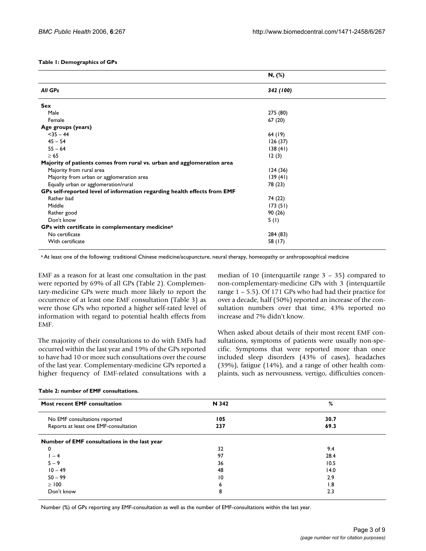#### **Table 1: Demographics of GPs**

|                                                                          | $N, (\%)$ |
|--------------------------------------------------------------------------|-----------|
| All GPs                                                                  | 342 (100) |
| Sex                                                                      |           |
| Male                                                                     | 275 (80)  |
| Female                                                                   | 67(20)    |
| Age groups (years)                                                       |           |
| $<$ 35 - 44                                                              | 64 (19)   |
| $45 - 54$                                                                | 126(37)   |
| $55 - 64$                                                                | 138(41)   |
| $\geq 65$                                                                | 12(3)     |
| Majority of patients comes from rural vs. urban and agglomeration area   |           |
| Majority from rural area                                                 | 124(36)   |
| Majority from urban or agglomeration area                                | 139(41)   |
| Equally urban or agglomeration/rural                                     | 78 (23)   |
| GPs self-reported level of information regarding health effects from EMF |           |
| Rather bad                                                               | 74 (22)   |
| Middle                                                                   | 173(51)   |
| Rather good                                                              | 90(26)    |
| Don't know                                                               | 5(I)      |
| GPs with certificate in complementary medicine <sup>a</sup>              |           |
| No certificate                                                           | 284 (83)  |
| With certificate                                                         | 58 (17)   |

a At least one of the following: traditional Chinese medicine/acupuncture, neural therapy, homeopathy or anthroposophical medicine

EMF as a reason for at least one consultation in the past were reported by 69% of all GPs (Table 2). Complementary-medicine GPs were much more likely to report the occurrence of at least one EMF consultation (Table 3) as were those GPs who reported a higher self-rated level of information with regard to potential health effects from EMF.

The majority of their consultations to do with EMFs had occurred within the last year and 19% of the GPs reported to have had 10 or more such consultations over the course of the last year. Complementary-medicine GPs reported a higher frequency of EMF-related consultations with a median of 10 (interquartile range 3 – 35) compared to non-complementary-medicine GPs with 3 (interquartile range 1 – 5.5). Of 171 GPs who had had their practice for over a decade, half (50%) reported an increase of the consultation numbers over that time, 43% reported no increase and 7% didn't know.

When asked about details of their most recent EMF consultations, symptoms of patients were usually non-specific. Symptoms that were reported more than once included sleep disorders (43% of cases), headaches (39%), fatigue (14%), and a range of other health complaints, such as nervousness, vertigo, difficulties concen-

| <b>Most recent EMF consultation</b>          | N 342 | %    |
|----------------------------------------------|-------|------|
| No EMF consultations reported                | 105   | 30.7 |
| Reports at least one EMF-consultation        | 237   | 69.3 |
| Number of EMF consultations in the last year |       |      |
| 0                                            | 32    | 9.4  |
| $-4$                                         | 97    | 28.4 |
| $5 - 9$                                      | 36    | 10.5 |
| $10 - 49$                                    | 48    | 14.0 |
| $50 - 99$                                    | 10    | 2.9  |
| $\geq$ 100                                   | ь     | 1.8  |
| Don't know                                   | 8     | 2.3  |

**Table 2: number of EMF consultations.**

Number (%) of GPs reporting any EMF-consultation as well as the number of EMF-consultations within the last year.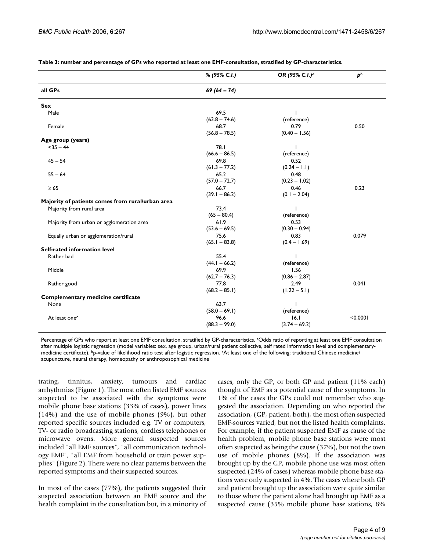|                                                  | $% (95\% C.I.)$ | OR (95% C.I.) <sup>a</sup> | p <sup>b</sup> |
|--------------------------------------------------|-----------------|----------------------------|----------------|
| all GPs                                          | $69(64 - 74)$   |                            |                |
| Sex                                              |                 |                            |                |
| Male                                             | 69.5            | T                          |                |
|                                                  | $(63.8 - 74.6)$ | (reference)                |                |
| Female                                           | 68.7            | 0.79                       | 0.50           |
|                                                  | $(56.8 - 78.5)$ | $(0.40 - 1.56)$            |                |
| Age group (years)                                |                 |                            |                |
| $35 - 44$                                        | 78.I            | ı                          |                |
|                                                  | $(66.6 - 86.5)$ | (reference)                |                |
| $45 - 54$                                        | 69.8            | 0.52                       |                |
|                                                  | $(61.3 - 77.2)$ | $(0.24 - 1.1)$             |                |
| $55 - 64$                                        | 65.2            | 0.48                       |                |
|                                                  | $(57.0 - 72.7)$ | $(0.23 - 1.02)$            |                |
| $\geq 65$                                        | 66.7            | 0.46                       | 0.23           |
|                                                  | $(39.1 - 86.2)$ | $(0.1 - 2.04)$             |                |
| Majority of patients comes from rural/urban area |                 |                            |                |
| Majority from rural area                         | 73.4            |                            |                |
|                                                  | $(65 - 80.4)$   | (reference)                |                |
| Majority from urban or agglomeration area        | 61.9            | 0.53                       |                |
|                                                  | $(53.6 - 69.5)$ | $(0.30 - 0.94)$            |                |
| Equally urban or agglomeration/rural             | 75.6            | 0.83                       | 0.079          |
|                                                  | $(65.1 - 83.8)$ | $(0.4 - 1.69)$             |                |
| Self-rated information level                     |                 |                            |                |
| Rather bad                                       | 55.4            |                            |                |
|                                                  | $(44.1 - 66.2)$ | (reference)                |                |
| Middle                                           | 69.9            | 1.56                       |                |
|                                                  | $(62.7 - 76.3)$ | $(0.86 - 2.87)$            |                |
| Rather good                                      | 77.8            | 2.49                       | 0.041          |
|                                                  | $(68.2 - 85.1)$ | $(1.22 - 5.1)$             |                |
| Complementary medicine certificate               |                 |                            |                |
| None                                             | 63.7            |                            |                |
|                                                  | $(58.0 - 69.1)$ |                            |                |
|                                                  |                 | (reference)                |                |
| At least one <sup>c</sup>                        | 96.6            | 16.1                       | < 0.0001       |
|                                                  | $(88.3 - 99.0)$ | $(3.74 - 69.2)$            |                |

**Table 3: number and percentage of GPs who reported at least one EMF-consultation, stratified by GP-characteristics.**

Percentage of GPs who report at least one EMF consultation, stratified by GP-characteristics. <sup>a</sup>Odds ratio of reporting at least one EMF consultation after multiple logistic regression (model variables: sex, age group, urban/rural patient collective, self rated information level and complementarymedicine certificate). bp-value of likelihood ratio test after logistic regression. cAt least one of the following: traditional Chinese medicine/ acupuncture, neural therapy, homeopathy or anthroposophical medicine

trating, tinnitus, anxiety, tumours and cardiac arrhythmias (Figure 1). The most often listed EMF sources suspected to be associated with the symptoms were mobile phone base stations (33% of cases), power lines (14%) and the use of mobile phones (9%), but other reported specific sources included e.g. TV or computers, TV- or radio broadcasting stations, cordless telephones or microwave ovens. More general suspected sources included "all EMF sources", "all communication technology EMF", "all EMF from household or train power supplies" (Figure 2). There were no clear patterns between the reported symptoms and their suspected sources.

In most of the cases (77%), the patients suggested their suspected association between an EMF source and the health complaint in the consultation but, in a minority of cases, only the GP, or both GP and patient (11% each) thought of EMF as a potential cause of the symptoms. In 1% of the cases the GPs could not remember who suggested the association. Depending on who reported the association, (GP, patient, both), the most often suspected EMF-sources varied, but not the listed health complaints. For example, if the patient suspected EMF as cause of the health problem, mobile phone base stations were most often suspected as being the cause (37%), but not the own use of mobile phones (8%). If the association was brought up by the GP, mobile phone use was most often suspected (24% of cases) whereas mobile phone base stations were only suspected in 4%. The cases where both GP and patient brought up the association were quite similar to those where the patient alone had brought up EMF as a suspected cause (35% mobile phone base stations, 8%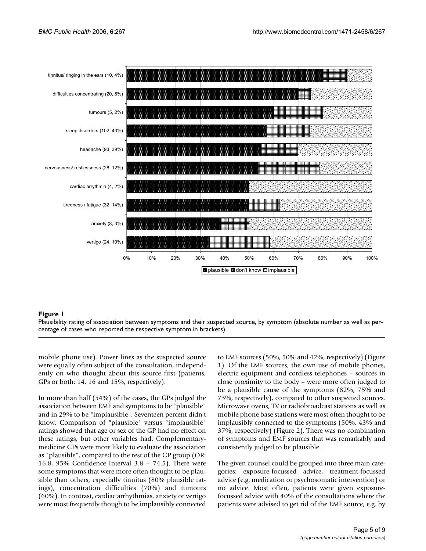

#### centage of cases who reported the **Figure 1** Plausibility rating of association between symptoms and th respective symptom in brackets) eir suspected source, by symptom (absolute number as well as per-

Plausibility rating of association between symptoms and their suspected source, by symptom (absolute number as well as percentage of cases who reported the respective symptom in brackets).

mobile phone use). Power lines as the suspected source were equally often subject of the consultation, independently on who thought about this source first (patients, GPs or both: 14, 16 and 15%, respectively).

In more than half (54%) of the cases, the GPs judged the association between EMF and symptoms to be "plausible" and in 29% to be "implausible". Seventeen percent didn't know. Comparison of "plausible" versus "implausible" ratings showed that age or sex of the GP had no effect on these ratings, but other variables had. Complementarymedicine GPs were more likely to evaluate the association as "plausible", compared to the rest of the GP group (OR: 16.8, 95% Confidence Interval 3.8 – 74.5). There were some symptoms that were more often thought to be plausible than others, especially tinnitus (80% plausible ratings), concentration difficulties (70%) and tumours (60%). In contrast, cardiac arrhythmias, anxiety or vertigo were most frequently though to be implausibly connected

to EMF sources (50%, 50% and 42%, respectively) (Figure 1). Of the EMF sources, the own use of mobile phones, electric equipment and cordless telephones – sources in close proximity to the body – were more often judged to be a plausible cause of the symptoms (82%, 75% and 73%, respectively), compared to other suspected sources. Microwave ovens, TV or radiobroadcast stations as well as mobile phone base stations were most often thought to be implausibly connected to the symptoms (50%, 43% and 37%, respectively) (Figure 2). There was no combination of symptoms and EMF sources that was remarkably and consistently judged to be plausible.

The given counsel could be grouped into three main categories: exposure-focussed advice, treatment-focussed advice (e.g. medication or psychosomatic intervention) or no advice. Most often, patients were given exposurefocussed advice with 40% of the consultations where the patients were advised to get rid of the EMF source, e.g. by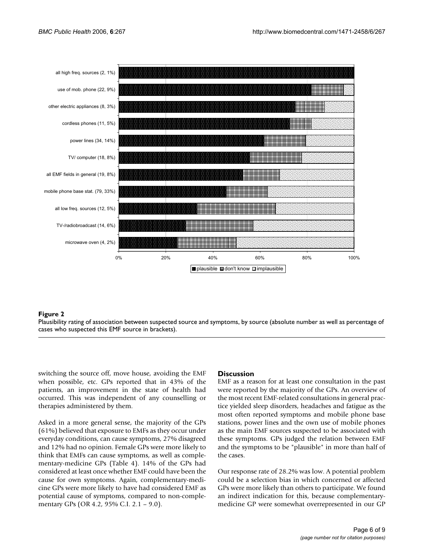

#### Plausibility rating of associatio cases who suspected this **Figure 2** EMF source in brackets) n between suspected source and symptoms, by source (absolute number as well as percentage of

Plausibility rating of association between suspected source and symptoms, by source (absolute number as well as percentage of cases who suspected this EMF source in brackets).

switching the source off, move house, avoiding the EMF when possible, etc. GPs reported that in 43% of the patients, an improvement in the state of health had occurred. This was independent of any counselling or therapies administered by them.

Asked in a more general sense, the majority of the GPs (61%) believed that exposure to EMFs as they occur under everyday conditions, can cause symptoms, 27% disagreed and 12% had no opinion. Female GPs were more likely to think that EMFs can cause symptoms, as well as complementary-medicine GPs (Table 4). 14% of the GPs had considered at least once whether EMF could have been the cause for own symptoms. Again, complementary-medicine GPs were more likely to have had considered EMF as potential cause of symptoms, compared to non-complementary GPs (OR 4.2, 95% C.I. 2.1 – 9.0).

#### **Discussion**

EMF as a reason for at least one consultation in the past were reported by the majority of the GPs. An overview of the most recent EMF-related consultations in general practice yielded sleep disorders, headaches and fatigue as the most often reported symptoms and mobile phone base stations, power lines and the own use of mobile phones as the main EMF sources suspected to be associated with these symptoms. GPs judged the relation between EMF and the symptoms to be "plausible" in more than half of the cases.

Our response rate of 28.2% was low. A potential problem could be a selection bias in which concerned or affected GPs were more likely than others to participate. We found an indirect indication for this, because complementarymedicine GP were somewhat overrepresented in our GP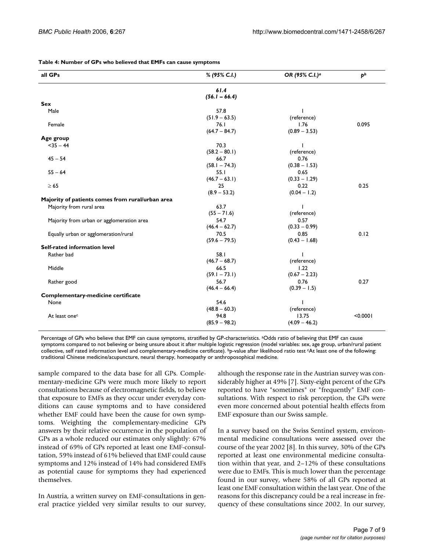| all GPs                                          | % (95% C.I.)    | OR (95% C.I.) <sup>o</sup> | $\mathbf{p}^{\mathbf{b}}$ |
|--------------------------------------------------|-----------------|----------------------------|---------------------------|
|                                                  | 61.4            |                            |                           |
|                                                  | $(56.1 - 66.4)$ |                            |                           |
| Sex                                              |                 |                            |                           |
| Male                                             | 57.8            | $\mathbf{I}$               |                           |
|                                                  | $(51.9 - 63.5)$ | (reference)                |                           |
| Female                                           | 76.1            | 1.76                       | 0.095                     |
|                                                  | $(64.7 - 84.7)$ | $(0.89 - 3.53)$            |                           |
| Age group                                        |                 |                            |                           |
| $<$ 35 $-$ 44                                    | 70.3            | $\mathbf{I}$               |                           |
|                                                  | $(58.2 - 80.1)$ | (reference)                |                           |
| $45 - 54$                                        | 66.7            | 0.76                       |                           |
|                                                  | $(58.1 - 74.3)$ | $(0.38 - 1.53)$            |                           |
| $55 - 64$                                        | 55.1            | 0.65                       |                           |
|                                                  | $(46.7 - 63.1)$ | $(0.33 - 1.29)$            |                           |
| $\geq 65$                                        | 25              | 0.22                       | 0.25                      |
|                                                  | $(8.9 - 53.2)$  | $(0.04 - 1.2)$             |                           |
| Majority of patients comes from rural/urban area |                 |                            |                           |
| Majority from rural area                         | 63.7            |                            |                           |
|                                                  | $(55 - 71.6)$   | (reference)                |                           |
| Majority from urban or agglomeration area        | 54.7            | 0.57                       |                           |
|                                                  | $(46.4 - 62.7)$ | $(0.33 - 0.99)$            |                           |
| Equally urban or agglomeration/rural             | 70.5            | 0.85                       | 0.12                      |
|                                                  | $(59.6 - 79.5)$ | $(0.43 - 1.68)$            |                           |
| Self-rated information level                     |                 |                            |                           |
| Rather bad                                       | 58.I            |                            |                           |
|                                                  | $(46.7 - 68.7)$ | (reference)                |                           |
| Middle                                           | 66.5            | 1.22                       |                           |
|                                                  | $(59.1 - 73.1)$ | $(0.67 - 2.23)$            |                           |
| Rather good                                      | 56.7            | 0.76                       | 0.27                      |
|                                                  | $(46.4 - 66.4)$ | $(0.39 - 1.5)$             |                           |
| Complementary-medicine certificate               |                 |                            |                           |
| None                                             | 54.6            |                            |                           |
|                                                  | $(48.8 - 60.3)$ | (reference)                |                           |
| At least one <sup>c</sup>                        | 94.8            | 13.75                      | < 0.0001                  |
|                                                  | $(85.9 - 98.2)$ | $(4.09 - 46.2)$            |                           |

**Table 4: Number of GPs who believed that EMFs can cause symptoms**

Percentage of GPs who believe that EMF can cause symptoms, stratified by GP-characteristics. <sup>a</sup>Odds ratio of believing that EMF can cause symptoms compared to not believing or being unsure about it after multiple logistic regression (model variables: sex, age group, urban/rural patient collective, self rated information level and complementary-medicine certificate). bp-value after likelihood ratio test <At least one of the following: traditional Chinese medicine/acupuncture, neural therapy, homeopathy or anthroposophical medicine.

sample compared to the data base for all GPs. Complementary-medicine GPs were much more likely to report consultations because of electromagnetic fields, to believe that exposure to EMFs as they occur under everyday conditions can cause symptoms and to have considered whether EMF could have been the cause for own symptoms. Weighting the complementary-medicine GPs answers by their relative occurrence in the population of GPs as a whole reduced our estimates only slightly: 67% instead of 69% of GPs reported at least one EMF-consultation, 59% instead of 61% believed that EMF could cause symptoms and 12% instead of 14% had considered EMFs as potential cause for symptoms they had experienced themselves.

In Austria, a written survey on EMF-consultations in general practice yielded very similar results to our survey,

although the response rate in the Austrian survey was considerably higher at 49% [7]. Sixty-eight percent of the GPs reported to have "sometimes" or "frequently" EMF consultations. With respect to risk perception, the GPs were even more concerned about potential health effects from EMF exposure than our Swiss sample.

In a survey based on the Swiss Sentinel system, environmental medicine consultations were assessed over the course of the year 2002 [8]. In this survey, 30% of the GPs reported at least one environmental medicine consultation within that year, and 2–12% of these consultations were due to EMFs. This is much lower than the percentage found in our survey, where 58% of all GPs reported at least one EMF consultation within the last year. One of the reasons for this discrepancy could be a real increase in frequency of these consultations since 2002. In our survey,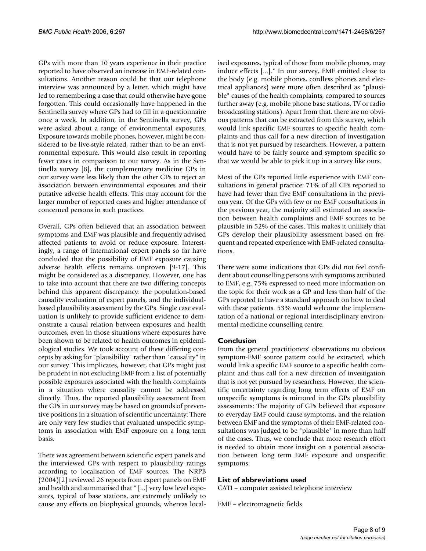GPs with more than 10 years experience in their practice reported to have observed an increase in EMF-related consultations. Another reason could be that our telephone interview was announced by a letter, which might have led to remembering a case that could otherwise have gone forgotten. This could occasionally have happened in the Sentinella survey where GPs had to fill in a questionnaire once a week. In addition, in the Sentinella survey, GPs were asked about a range of environmental exposures. Exposure towards mobile phones, however, might be considered to be live-style related, rather than to be an environmental exposure. This would also result in reporting fewer cases in comparison to our survey. As in the Sentinella survey [8], the complementary medicine GPs in our survey were less likely than the other GPs to reject an association between environmental exposures and their putative adverse health effects. This may account for the larger number of reported cases and higher attendance of concerned persons in such practices.

Overall, GPs often believed that an association between symptoms and EMF was plausible and frequently advised affected patients to avoid or reduce exposure. Interestingly, a range of international expert panels so far have concluded that the possibility of EMF exposure causing adverse health effects remains unproven [9-17]. This might be considered as a discrepancy. However, one has to take into account that there are two differing concepts behind this apparent discrepancy: the population-based causality evaluation of expert panels, and the individualbased plausibility assessment by the GPs. Single case evaluation is unlikely to provide sufficient evidence to demonstrate a causal relation between exposures and health outcomes, even in those situations where exposures have been shown to be related to health outcomes in epidemiological studies. We took account of these differing concepts by asking for "plausibility" rather than "causality" in our survey. This implicates, however, that GPs might just be prudent in not excluding EMF from a list of potentially possible exposures associated with the health complaints in a situation where causality cannot be addressed directly. Thus, the reported plausibility assessment from the GPs in our survey may be based on grounds of preventive positions in a situation of scientific uncertainty: There are only very few studies that evaluated unspecific symptoms in association with EMF exposure on a long term basis.

There was agreement between scientific expert panels and the interviewed GPs with respect to plausibility ratings according to localisation of EMF sources. The NRPB (2004)[2] reviewed 26 reports from expert panels on EMF and health and summarised that " [...] very low level exposures, typical of base stations, are extremely unlikely to cause any effects on biophysical grounds, whereas localised exposures, typical of those from mobile phones, may induce effects [...]." In our survey, EMF emitted close to the body (e.g. mobile phones, cordless phones and electrical appliances) were more often described as "plausible" causes of the health complaints, compared to sources further away (e.g. mobile phone base stations, TV or radio broadcasting stations). Apart from that, there are no obvious patterns that can be extracted from this survey, which would link specific EMF sources to specific health complaints and thus call for a new direction of investigation that is not yet pursued by researchers. However, a pattern would have to be fairly source and symptom specific so that we would be able to pick it up in a survey like ours.

Most of the GPs reported little experience with EMF consultations in general practice: 71% of all GPs reported to have had fewer than five EMF consultations in the previous year. Of the GPs with few or no EMF consultations in the previous year, the majority still estimated an association between health complaints and EMF sources to be plausible in 52% of the cases. This makes it unlikely that GPs develop their plausibility assessment based on frequent and repeated experience with EMF-related consultations.

There were some indications that GPs did not feel confident about counselling persons with symptoms attributed to EMF, e.g. 75% expressed to need more information on the topic for their work as a GP and less than half of the GPs reported to have a standard approach on how to deal with these patients. 53% would welcome the implementation of a national or regional interdisciplinary environmental medicine counselling centre.

### **Conclusion**

From the general practitioners' observations no obvious symptom-EMF source pattern could be extracted, which would link a specific EMF source to a specific health complaint and thus call for a new direction of investigation that is not yet pursued by researchers. However, the scientific uncertainty regarding long term effects of EMF on unspecific symptoms is mirrored in the GPs plausibility assessments: The majority of GPs believed that exposure to everyday EMF could cause symptoms, and the relation between EMF and the symptoms of their EMF-related consultations was judged to be "plausible" in more than half of the cases. Thus, we conclude that more research effort is needed to obtain more insight on a potential association between long term EMF exposure and unspecific symptoms.

#### **List of abbreviations used**

CATI – computer assisted telephone interview

EMF – electromagnetic fields